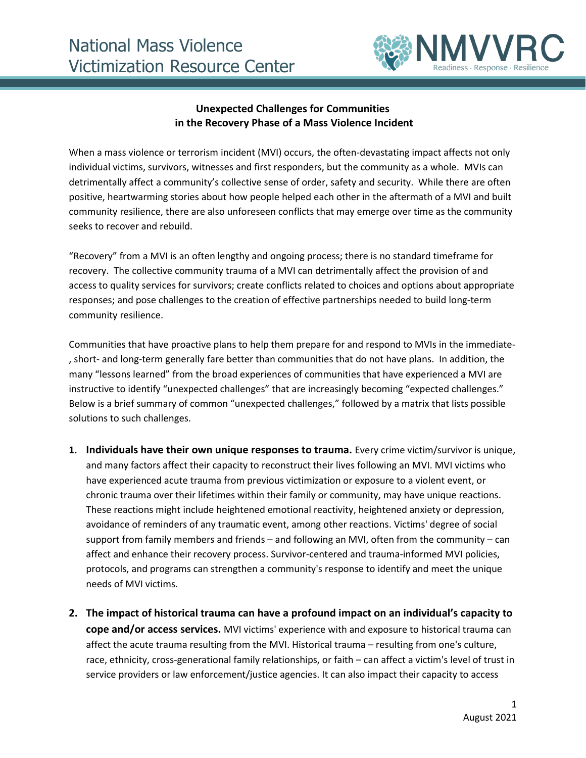

#### **Unexpected Challenges for Communities in the Recovery Phase of a Mass Violence Incident**

When a mass violence or terrorism incident (MVI) occurs, the often-devastating impact affects not only individual victims, survivors, witnesses and first responders, but the community as a whole. MVIs can detrimentally affect a community's collective sense of order, safety and security. While there are often positive, heartwarming stories about how people helped each other in the aftermath of a MVI and built community resilience, there are also unforeseen conflicts that may emerge over time as the community seeks to recover and rebuild.

"Recovery" from a MVI is an often lengthy and ongoing process; there is no standard timeframe for recovery. The collective community trauma of a MVI can detrimentally affect the provision of and access to quality services for survivors; create conflicts related to choices and options about appropriate responses; and pose challenges to the creation of effective partnerships needed to build long-term community resilience.

Communities that have proactive plans to help them prepare for and respond to MVIs in the immediate- , short- and long-term generally fare better than communities that do not have plans. In addition, the many "lessons learned" from the broad experiences of communities that have experienced a MVI are instructive to identify "unexpected challenges" that are increasingly becoming "expected challenges." Below is a brief summary of common "unexpected challenges," followed by a matrix that lists possible solutions to such challenges.

- **1. Individuals have their own unique responses to trauma.** Every crime victim/survivor is unique, and many factors affect their capacity to reconstruct their lives following an MVI. MVI victims who have experienced acute trauma from previous victimization or exposure to a violent event, or chronic trauma over their lifetimes within their family or community, may have unique reactions. These reactions might include heightened emotional reactivity, heightened anxiety or depression, avoidance of reminders of any traumatic event, among other reactions. Victims' degree of social support from family members and friends – and following an MVI, often from the community – can affect and enhance their recovery process. Survivor-centered and trauma-informed MVI policies, protocols, and programs can strengthen a community's response to identify and meet the unique needs of MVI victims.
- **2. The impact of historical trauma can have a profound impact on an individual's capacity to cope and/or access services.** MVI victims' experience with and exposure to historical trauma can affect the acute trauma resulting from the MVI. Historical trauma – resulting from one's culture, race, ethnicity, cross-generational family relationships, or faith – can affect a victim's level of trust in service providers or law enforcement/justice agencies. It can also impact their capacity to access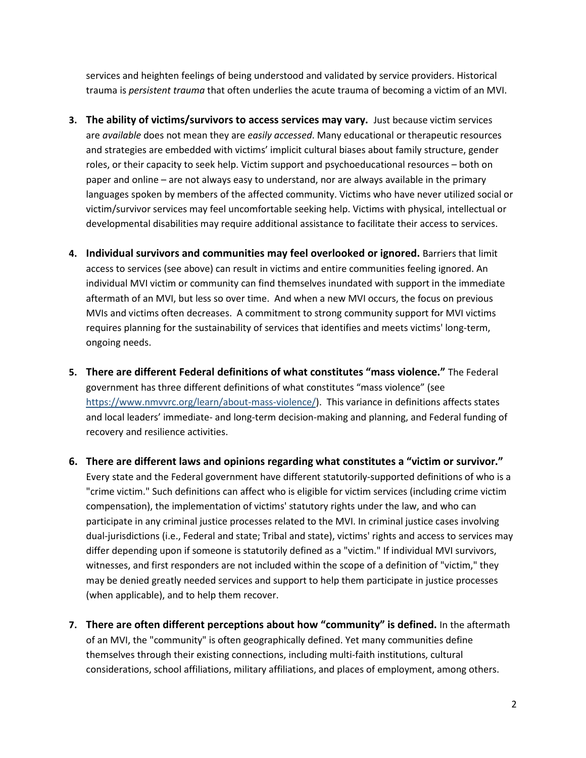services and heighten feelings of being understood and validated by service providers. Historical trauma is *persistent trauma* that often underlies the acute trauma of becoming a victim of an MVI.

- **3. The ability of victims/survivors to access services may vary.** Just because victim services are *available* does not mean they are *easily accessed*. Many educational or therapeutic resources and strategies are embedded with victims' implicit cultural biases about family structure, gender roles, or their capacity to seek help. Victim support and psychoeducational resources – both on paper and online – are not always easy to understand, nor are always available in the primary languages spoken by members of the affected community. Victims who have never utilized social or victim/survivor services may feel uncomfortable seeking help. Victims with physical, intellectual or developmental disabilities may require additional assistance to facilitate their access to services.
- **4. Individual survivors and communities may feel overlooked or ignored.** Barriers that limit access to services (see above) can result in victims and entire communities feeling ignored. An individual MVI victim or community can find themselves inundated with support in the immediate aftermath of an MVI, but less so over time. And when a new MVI occurs, the focus on previous MVIs and victims often decreases. A commitment to strong community support for MVI victims requires planning for the sustainability of services that identifies and meets victims' long-term, ongoing needs.
- **5. There are different Federal definitions of what constitutes "mass violence."** The Federal government has three different definitions of what constitutes "mass violence" (see [https://www.nmvvrc.org/learn/about-mass-violence/\)](https://www.nmvvrc.org/learn/about-mass-violence/). This variance in definitions affects states and local leaders' immediate- and long-term decision-making and planning, and Federal funding of recovery and resilience activities.
- **6. There are different laws and opinions regarding what constitutes a "victim or survivor."** Every state and the Federal government have different statutorily-supported definitions of who is a "crime victim." Such definitions can affect who is eligible for victim services (including crime victim compensation), the implementation of victims' statutory rights under the law, and who can participate in any criminal justice processes related to the MVI. In criminal justice cases involving dual-jurisdictions (i.e., Federal and state; Tribal and state), victims' rights and access to services may differ depending upon if someone is statutorily defined as a "victim." If individual MVI survivors, witnesses, and first responders are not included within the scope of a definition of "victim," they may be denied greatly needed services and support to help them participate in justice processes (when applicable), and to help them recover.
- **7. There are often different perceptions about how "community" is defined.** In the aftermath of an MVI, the "community" is often geographically defined. Yet many communities define themselves through their existing connections, including multi-faith institutions, cultural considerations, school affiliations, military affiliations, and places of employment, among others.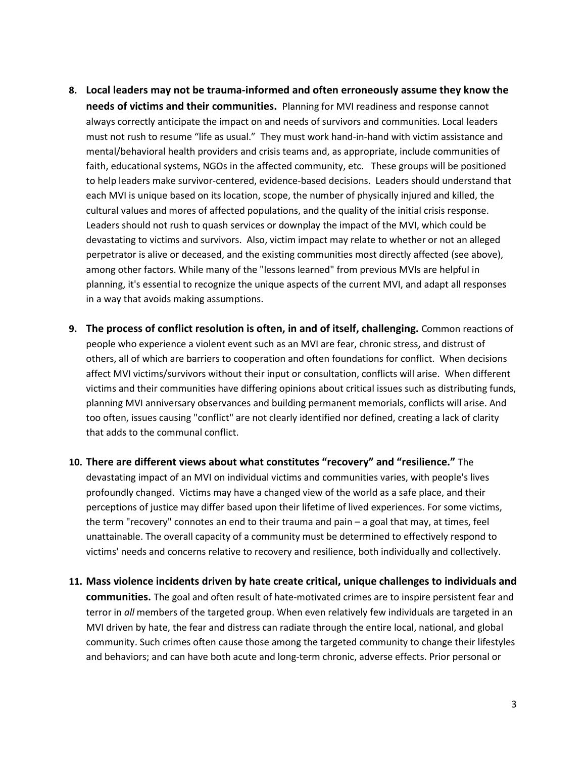- **8. Local leaders may not be trauma-informed and often erroneously assume they know the needs of victims and their communities.** Planning for MVI readiness and response cannot always correctly anticipate the impact on and needs of survivors and communities. Local leaders must not rush to resume "life as usual." They must work hand-in-hand with victim assistance and mental/behavioral health providers and crisis teams and, as appropriate, include communities of faith, educational systems, NGOs in the affected community, etc. These groups will be positioned to help leaders make survivor-centered, evidence-based decisions. Leaders should understand that each MVI is unique based on its location, scope, the number of physically injured and killed, the cultural values and mores of affected populations, and the quality of the initial crisis response. Leaders should not rush to quash services or downplay the impact of the MVI, which could be devastating to victims and survivors. Also, victim impact may relate to whether or not an alleged perpetrator is alive or deceased, and the existing communities most directly affected (see above), among other factors. While many of the "lessons learned" from previous MVIs are helpful in planning, it's essential to recognize the unique aspects of the current MVI, and adapt all responses in a way that avoids making assumptions.
- **9. The process of conflict resolution is often, in and of itself, challenging.** Common reactions of people who experience a violent event such as an MVI are fear, chronic stress, and distrust of others, all of which are barriers to cooperation and often foundations for conflict. When decisions affect MVI victims/survivors without their input or consultation, conflicts will arise. When different victims and their communities have differing opinions about critical issues such as distributing funds, planning MVI anniversary observances and building permanent memorials, conflicts will arise. And too often, issues causing "conflict" are not clearly identified nor defined, creating a lack of clarity that adds to the communal conflict.
- **10. There are different views about what constitutes "recovery" and "resilience."** The devastating impact of an MVI on individual victims and communities varies, with people's lives profoundly changed. Victims may have a changed view of the world as a safe place, and their perceptions of justice may differ based upon their lifetime of lived experiences. For some victims, the term "recovery" connotes an end to their trauma and pain – a goal that may, at times, feel unattainable. The overall capacity of a community must be determined to effectively respond to victims' needs and concerns relative to recovery and resilience, both individually and collectively.
- **11. Mass violence incidents driven by hate create critical, unique challenges to individuals and communities.** The goal and often result of hate-motivated crimes are to inspire persistent fear and terror in *all* members of the targeted group. When even relatively few individuals are targeted in an MVI driven by hate, the fear and distress can radiate through the entire local, national, and global community. Such crimes often cause those among the targeted community to change their lifestyles and behaviors; and can have both acute and long-term chronic, adverse effects. Prior personal or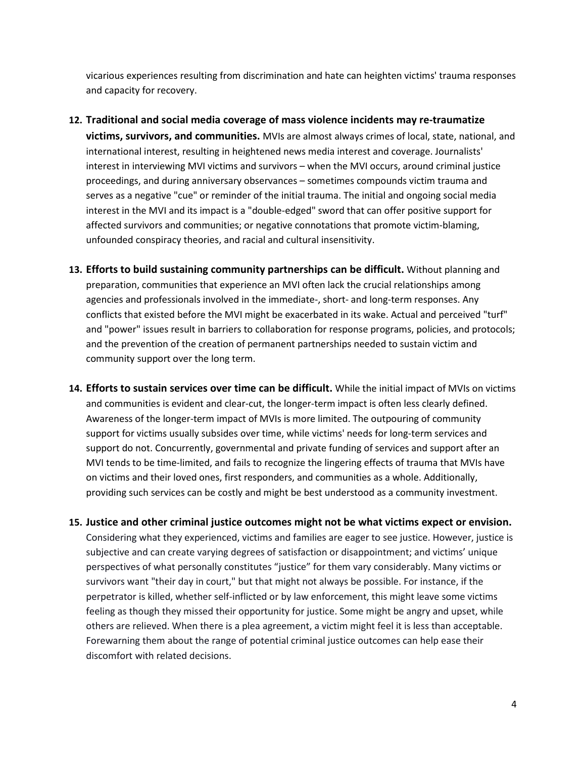vicarious experiences resulting from discrimination and hate can heighten victims' trauma responses and capacity for recovery.

- **12. Traditional and social media coverage of mass violence incidents may re-traumatize victims, survivors, and communities.** MVIs are almost always crimes of local, state, national, and international interest, resulting in heightened news media interest and coverage. Journalists' interest in interviewing MVI victims and survivors – when the MVI occurs, around criminal justice proceedings, and during anniversary observances – sometimes compounds victim trauma and serves as a negative "cue" or reminder of the initial trauma. The initial and ongoing social media interest in the MVI and its impact is a "double-edged" sword that can offer positive support for affected survivors and communities; or negative connotations that promote victim-blaming, unfounded conspiracy theories, and racial and cultural insensitivity.
- **13. Efforts to build sustaining community partnerships can be difficult.** Without planning and preparation, communities that experience an MVI often lack the crucial relationships among agencies and professionals involved in the immediate-, short- and long-term responses. Any conflicts that existed before the MVI might be exacerbated in its wake. Actual and perceived "turf" and "power" issues result in barriers to collaboration for response programs, policies, and protocols; and the prevention of the creation of permanent partnerships needed to sustain victim and community support over the long term.
- **14. Efforts to sustain services over time can be difficult.** While the initial impact of MVIs on victims and communities is evident and clear-cut, the longer-term impact is often less clearly defined. Awareness of the longer-term impact of MVIs is more limited. The outpouring of community support for victims usually subsides over time, while victims' needs for long-term services and support do not. Concurrently, governmental and private funding of services and support after an MVI tends to be time-limited, and fails to recognize the lingering effects of trauma that MVIs have on victims and their loved ones, first responders, and communities as a whole. Additionally, providing such services can be costly and might be best understood as a community investment.
- **15. Justice and other criminal justice outcomes might not be what victims expect or envision.** Considering what they experienced, victims and families are eager to see justice. However, justice is subjective and can create varying degrees of satisfaction or disappointment; and victims' unique perspectives of what personally constitutes "justice" for them vary considerably. Many victims or survivors want "their day in court," but that might not always be possible. For instance, if the perpetrator is killed, whether self-inflicted or by law enforcement, this might leave some victims feeling as though they missed their opportunity for justice. Some might be angry and upset, while others are relieved. When there is a plea agreement, a victim might feel it is less than acceptable. Forewarning them about the range of potential criminal justice outcomes can help ease their discomfort with related decisions.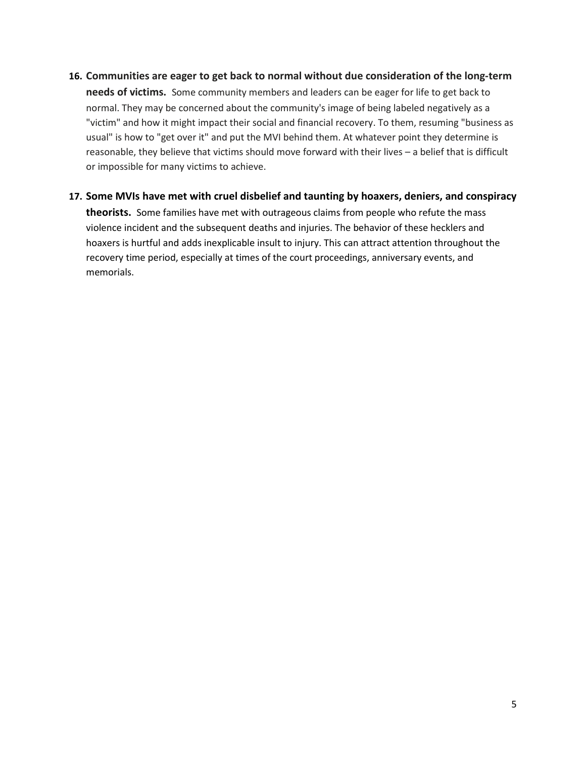#### **16. Communities are eager to get back to normal without due consideration of the long-term**

**needs of victims.** Some community members and leaders can be eager for life to get back to normal. They may be concerned about the community's image of being labeled negatively as a "victim" and how it might impact their social and financial recovery. To them, resuming "business as usual" is how to "get over it" and put the MVI behind them. At whatever point they determine is reasonable, they believe that victims should move forward with their lives – a belief that is difficult or impossible for many victims to achieve.

# **17. Some MVIs have met with cruel disbelief and taunting by hoaxers, deniers, and conspiracy theorists.** Some families have met with outrageous claims from people who refute the mass violence incident and the subsequent deaths and injuries. The behavior of these hecklers and hoaxers is hurtful and adds inexplicable insult to injury. This can attract attention throughout the recovery time period, especially at times of the court proceedings, anniversary events, and memorials.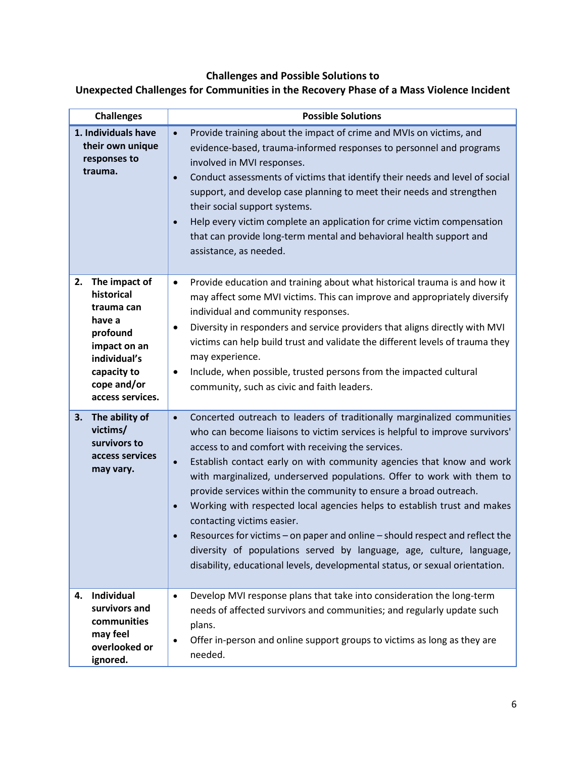# **Challenges and Possible Solutions to**

### **Unexpected Challenges for Communities in the Recovery Phase of a Mass Violence Incident**

| <b>Challenges</b>                                                                                                                                       |                                     | <b>Possible Solutions</b>                                                                                                                                                                                                                                                                                                                                                                                                                                                                                                                                                                                                                                                                                                                                                              |
|---------------------------------------------------------------------------------------------------------------------------------------------------------|-------------------------------------|----------------------------------------------------------------------------------------------------------------------------------------------------------------------------------------------------------------------------------------------------------------------------------------------------------------------------------------------------------------------------------------------------------------------------------------------------------------------------------------------------------------------------------------------------------------------------------------------------------------------------------------------------------------------------------------------------------------------------------------------------------------------------------------|
| 1. Individuals have<br>their own unique<br>responses to<br>trauma.                                                                                      | $\bullet$<br>$\bullet$              | Provide training about the impact of crime and MVIs on victims, and<br>$\bullet$<br>evidence-based, trauma-informed responses to personnel and programs<br>involved in MVI responses.<br>Conduct assessments of victims that identify their needs and level of social<br>support, and develop case planning to meet their needs and strengthen<br>their social support systems.<br>Help every victim complete an application for crime victim compensation<br>that can provide long-term mental and behavioral health support and<br>assistance, as needed.                                                                                                                                                                                                                            |
| The impact of<br>2.<br>historical<br>trauma can<br>have a<br>profound<br>impact on an<br>individual's<br>capacity to<br>cope and/or<br>access services. | $\bullet$                           | Provide education and training about what historical trauma is and how it<br>$\bullet$<br>may affect some MVI victims. This can improve and appropriately diversify<br>individual and community responses.<br>Diversity in responders and service providers that aligns directly with MVI<br>victims can help build trust and validate the different levels of trauma they<br>may experience.<br>Include, when possible, trusted persons from the impacted cultural<br>community, such as civic and faith leaders.                                                                                                                                                                                                                                                                     |
| The ability of<br>3.<br>victims/<br>survivors to<br>access services<br>may vary.                                                                        | $\bullet$<br>$\bullet$<br>$\bullet$ | Concerted outreach to leaders of traditionally marginalized communities<br>who can become liaisons to victim services is helpful to improve survivors'<br>access to and comfort with receiving the services.<br>Establish contact early on with community agencies that know and work<br>with marginalized, underserved populations. Offer to work with them to<br>provide services within the community to ensure a broad outreach.<br>Working with respected local agencies helps to establish trust and makes<br>contacting victims easier.<br>Resources for victims – on paper and online – should respect and reflect the<br>diversity of populations served by language, age, culture, language,<br>disability, educational levels, developmental status, or sexual orientation. |
| Individual<br>4.<br>survivors and<br>communities<br>may feel<br>overlooked or<br>ignored.                                                               |                                     | Develop MVI response plans that take into consideration the long-term<br>needs of affected survivors and communities; and regularly update such<br>plans.<br>Offer in-person and online support groups to victims as long as they are<br>needed.                                                                                                                                                                                                                                                                                                                                                                                                                                                                                                                                       |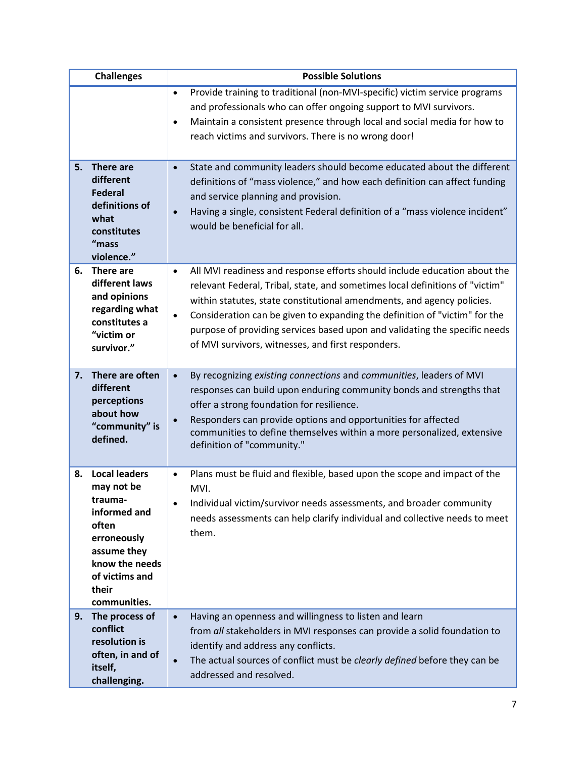|    | <b>Challenges</b>                                                                                                                                                 | <b>Possible Solutions</b>                                                                                                                                                                                                                                                                                                                                                                                                                                                       |
|----|-------------------------------------------------------------------------------------------------------------------------------------------------------------------|---------------------------------------------------------------------------------------------------------------------------------------------------------------------------------------------------------------------------------------------------------------------------------------------------------------------------------------------------------------------------------------------------------------------------------------------------------------------------------|
|    |                                                                                                                                                                   | Provide training to traditional (non-MVI-specific) victim service programs<br>$\bullet$<br>and professionals who can offer ongoing support to MVI survivors.<br>Maintain a consistent presence through local and social media for how to<br>$\bullet$<br>reach victims and survivors. There is no wrong door!                                                                                                                                                                   |
| 5. | There are<br>different<br><b>Federal</b><br>definitions of<br>what<br>constitutes<br>"mass<br>violence."                                                          | State and community leaders should become educated about the different<br>$\bullet$<br>definitions of "mass violence," and how each definition can affect funding<br>and service planning and provision.<br>Having a single, consistent Federal definition of a "mass violence incident"<br>$\bullet$<br>would be beneficial for all.                                                                                                                                           |
| 6. | There are<br>different laws<br>and opinions<br>regarding what<br>constitutes a<br>"victim or<br>survivor."                                                        | All MVI readiness and response efforts should include education about the<br>$\bullet$<br>relevant Federal, Tribal, state, and sometimes local definitions of "victim"<br>within statutes, state constitutional amendments, and agency policies.<br>Consideration can be given to expanding the definition of "victim" for the<br>$\bullet$<br>purpose of providing services based upon and validating the specific needs<br>of MVI survivors, witnesses, and first responders. |
| 7. | There are often<br>different<br>perceptions<br>about how<br>"community" is<br>defined.                                                                            | By recognizing existing connections and communities, leaders of MVI<br>$\bullet$<br>responses can build upon enduring community bonds and strengths that<br>offer a strong foundation for resilience.<br>Responders can provide options and opportunities for affected<br>$\bullet$<br>communities to define themselves within a more personalized, extensive<br>definition of "community."                                                                                     |
| 8. | <b>Local leaders</b><br>may not be<br>trauma-<br>informed and<br>often<br>erroneously<br>assume they<br>know the needs<br>of victims and<br>their<br>communities. | Plans must be fluid and flexible, based upon the scope and impact of the<br>$\bullet$<br>MVI.<br>Individual victim/survivor needs assessments, and broader community<br>$\bullet$<br>needs assessments can help clarify individual and collective needs to meet<br>them.                                                                                                                                                                                                        |
| 9. | The process of<br>conflict<br>resolution is<br>often, in and of<br>itself,<br>challenging.                                                                        | Having an openness and willingness to listen and learn<br>$\bullet$<br>from all stakeholders in MVI responses can provide a solid foundation to<br>identify and address any conflicts.<br>The actual sources of conflict must be clearly defined before they can be<br>$\bullet$<br>addressed and resolved.                                                                                                                                                                     |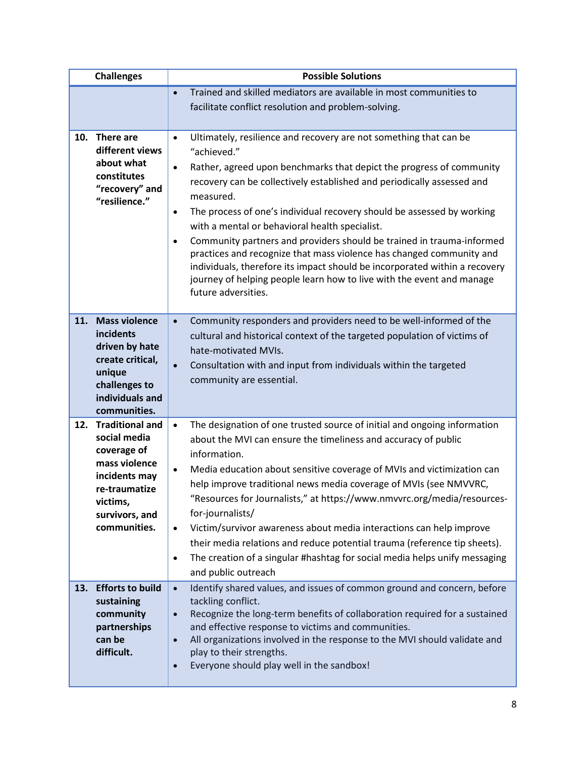|     | <b>Challenges</b>                                                                                                                                      | <b>Possible Solutions</b>                                                                                                                                                                                                                                                                                                                                                                                                                                                                                                                                                                                                                                                                                                                                      |
|-----|--------------------------------------------------------------------------------------------------------------------------------------------------------|----------------------------------------------------------------------------------------------------------------------------------------------------------------------------------------------------------------------------------------------------------------------------------------------------------------------------------------------------------------------------------------------------------------------------------------------------------------------------------------------------------------------------------------------------------------------------------------------------------------------------------------------------------------------------------------------------------------------------------------------------------------|
|     |                                                                                                                                                        | Trained and skilled mediators are available in most communities to<br>$\bullet$<br>facilitate conflict resolution and problem-solving.                                                                                                                                                                                                                                                                                                                                                                                                                                                                                                                                                                                                                         |
|     |                                                                                                                                                        |                                                                                                                                                                                                                                                                                                                                                                                                                                                                                                                                                                                                                                                                                                                                                                |
| 10. | There are<br>different views<br>about what<br>constitutes<br>"recovery" and<br>"resilience."                                                           | Ultimately, resilience and recovery are not something that can be<br>$\bullet$<br>"achieved."<br>Rather, agreed upon benchmarks that depict the progress of community<br>$\bullet$<br>recovery can be collectively established and periodically assessed and<br>measured.<br>The process of one's individual recovery should be assessed by working<br>$\bullet$<br>with a mental or behavioral health specialist.<br>Community partners and providers should be trained in trauma-informed<br>$\bullet$<br>practices and recognize that mass violence has changed community and<br>individuals, therefore its impact should be incorporated within a recovery<br>journey of helping people learn how to live with the event and manage<br>future adversities. |
| 11. | <b>Mass violence</b><br>incidents<br>driven by hate<br>create critical,<br>unique<br>challenges to<br>individuals and<br>communities.                  | Community responders and providers need to be well-informed of the<br>$\bullet$<br>cultural and historical context of the targeted population of victims of<br>hate-motivated MVIs.<br>Consultation with and input from individuals within the targeted<br>$\bullet$<br>community are essential.                                                                                                                                                                                                                                                                                                                                                                                                                                                               |
| 12. | <b>Traditional and</b><br>social media<br>coverage of<br>mass violence<br>incidents may<br>re-traumatize<br>victims,<br>survivors, and<br>communities. | The designation of one trusted source of initial and ongoing information<br>$\bullet$<br>about the MVI can ensure the timeliness and accuracy of public<br>information.<br>Media education about sensitive coverage of MVIs and victimization can<br>$\bullet$<br>help improve traditional news media coverage of MVIs (see NMVVRC,<br>"Resources for Journalists," at https://www.nmvvrc.org/media/resources-<br>for-journalists/<br>Victim/survivor awareness about media interactions can help improve<br>$\bullet$<br>their media relations and reduce potential trauma (reference tip sheets).<br>The creation of a singular #hashtag for social media helps unify messaging<br>$\bullet$<br>and public outreach                                          |
| 13. | <b>Efforts to build</b><br>sustaining<br>community<br>partnerships<br>can be<br>difficult.                                                             | Identify shared values, and issues of common ground and concern, before<br>$\bullet$<br>tackling conflict.<br>Recognize the long-term benefits of collaboration required for a sustained<br>$\bullet$<br>and effective response to victims and communities.<br>All organizations involved in the response to the MVI should validate and<br>$\bullet$<br>play to their strengths.<br>Everyone should play well in the sandbox!<br>$\bullet$                                                                                                                                                                                                                                                                                                                    |